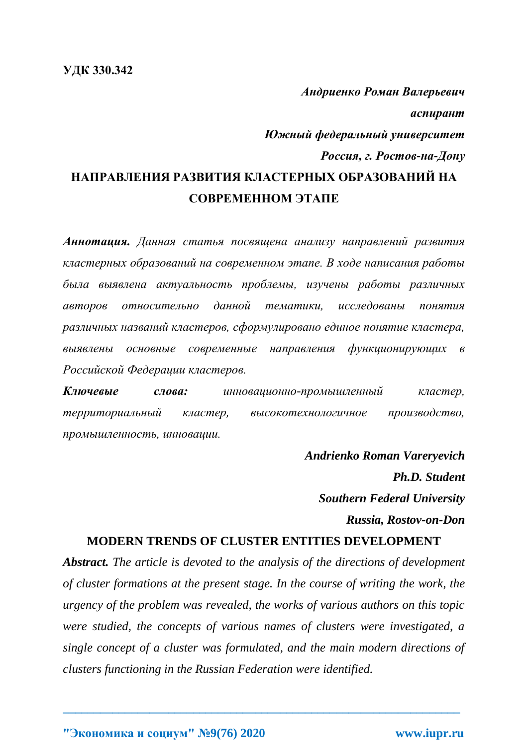## *Андриенко Роман Валерьевич аспирант Южный федеральный университет Россия, г. Ростов-на-Дону* **НАПРАВЛЕНИЯ РАЗВИТИЯ КЛАСТЕРНЫХ ОБРАЗОВАНИЙ НА СОВРЕМЕННОМ ЭТАПЕ**

*Аннотация. Данная статья посвящена анализу направлений развития кластерных образований на современном этапе. В ходе написания работы была выявлена актуальность проблемы, изучены работы различных авторов относительно данной тематики, исследованы понятия различных названий кластеров, сформулировано единое понятие кластера, выявлены основные современные направления функционирующих в Российской Федерации кластеров.*

*Ключевые слова: инновационно-промышленный кластер, территориальный кластер, высокотехнологичное производство, промышленность, инновации.*

> *Andrienko Roman Vareryevich Ph.D. Student Southern Federal University Russia, Rostov-on-Don*

## **MODERN TRENDS OF CLUSTER ENTITIES DEVELOPMENT**

*Abstract. The article is devoted to the analysis of the directions of development of cluster formations at the present stage. In the course of writing the work, the urgency of the problem was revealed, the works of various authors on this topic were studied, the concepts of various names of clusters were investigated, a single concept of a cluster was formulated, and the main modern directions of clusters functioning in the Russian Federation were identified.*

**\_\_\_\_\_\_\_\_\_\_\_\_\_\_\_\_\_\_\_\_\_\_\_\_\_\_\_\_\_\_\_\_\_\_\_\_\_\_\_\_\_\_\_\_\_\_\_\_\_\_\_\_\_\_\_\_\_\_\_\_\_\_\_\_**

**"Экономика и социум" №9(76) 2020 www.iupr.ru**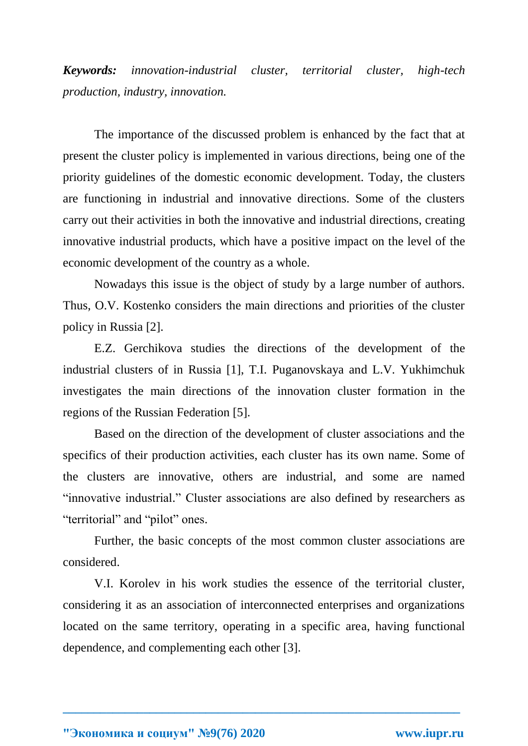*Keywords: innovation-industrial cluster, territorial cluster, high-tech production, industry, innovation.*

The importance of the discussed problem is enhanced by the fact that at present the cluster policy is implemented in various directions, being one of the priority guidelines of the domestic economic development. Today, the clusters are functioning in industrial and innovative directions. Some of the clusters carry out their activities in both the innovative and industrial directions, creating innovative industrial products, which have a positive impact on the level of the economic development of the country as a whole.

Nowadays this issue is the object of study by a large number of authors. Thus, O.V. Kostenko considers the main directions and priorities of the cluster policy in Russia [2].

E.Z. Gerchikova studies the directions of the development of the industrial clusters of in Russia [1], T.I. Puganovskaya and L.V. Yukhimchuk investigates the main directions of the innovation cluster formation in the regions of the Russian Federation [5].

Based on the direction of the development of cluster associations and the specifics of their production activities, each cluster has its own name. Some of the clusters are innovative, others are industrial, and some are named "innovative industrial." Cluster associations are also defined by researchers as "territorial" and "pilot" ones.

Further, the basic concepts of the most common cluster associations are considered.

V.I. Korolev in his work studies the essence of the territorial cluster, considering it as an association of interconnected enterprises and organizations located on the same territory, operating in a specific area, having functional dependence, and complementing each other [3].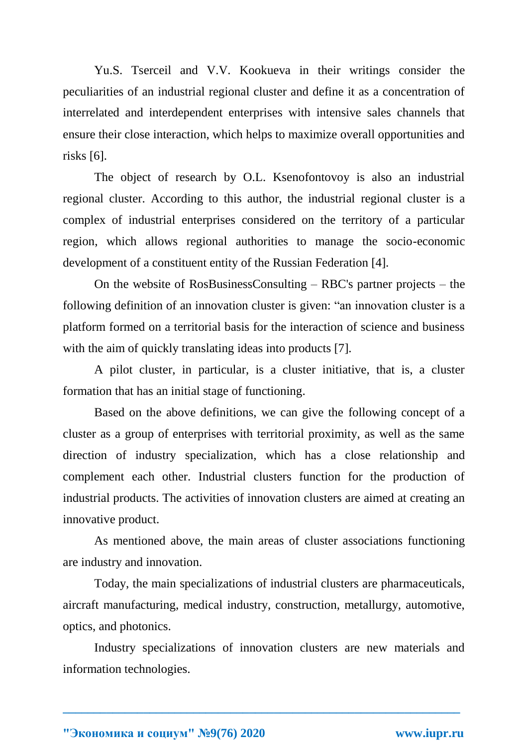Yu.S. Tserceil and V.V. Kookueva in their writings consider the peculiarities of an industrial regional cluster and define it as a concentration of interrelated and interdependent enterprises with intensive sales channels that ensure their close interaction, which helps to maximize overall opportunities and risks [6].

The object of research by O.L. Ksenofontovoy is also an industrial regional cluster. According to this author, the industrial regional cluster is a complex of industrial enterprises considered on the territory of a particular region, which allows regional authorities to manage the socio-economic development of a constituent entity of the Russian Federation [4].

On the website of RosBusinessConsulting – RBC's partner projects – the following definition of an innovation cluster is given: "an innovation cluster is a platform formed on a territorial basis for the interaction of science and business with the aim of quickly translating ideas into products [7].

A pilot cluster, in particular, is a cluster initiative, that is, a cluster formation that has an initial stage of functioning.

Based on the above definitions, we can give the following concept of a cluster as a group of enterprises with territorial proximity, as well as the same direction of industry specialization, which has a close relationship and complement each other. Industrial clusters function for the production of industrial products. The activities of innovation clusters are aimed at creating an innovative product.

As mentioned above, the main areas of cluster associations functioning are industry and innovation.

Today, the main specializations of industrial clusters are pharmaceuticals, aircraft manufacturing, medical industry, construction, metallurgy, automotive, optics, and photonics.

Industry specializations of innovation clusters are new materials and information technologies.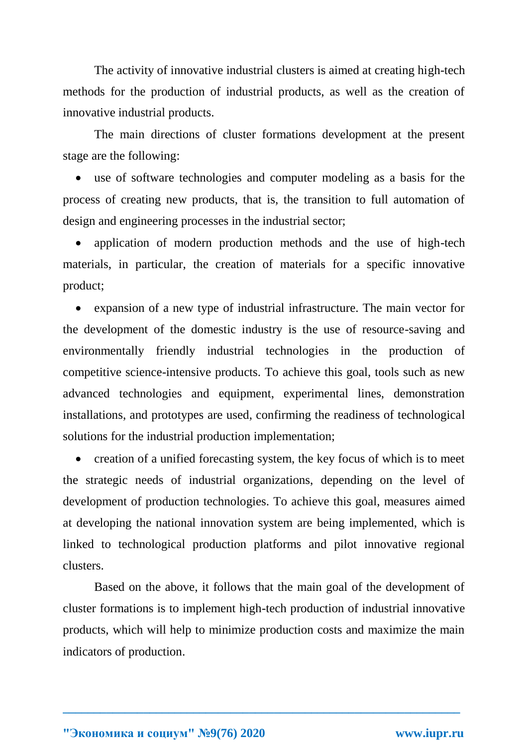The activity of innovative industrial clusters is aimed at creating high-tech methods for the production of industrial products, as well as the creation of innovative industrial products.

The main directions of cluster formations development at the present stage are the following:

 use of software technologies and computer modeling as a basis for the process of creating new products, that is, the transition to full automation of design and engineering processes in the industrial sector;

 application of modern production methods and the use of high-tech materials, in particular, the creation of materials for a specific innovative product;

 expansion of a new type of industrial infrastructure. The main vector for the development of the domestic industry is the use of resource-saving and environmentally friendly industrial technologies in the production of competitive science-intensive products. To achieve this goal, tools such as new advanced technologies and equipment, experimental lines, demonstration installations, and prototypes are used, confirming the readiness of technological solutions for the industrial production implementation;

• creation of a unified forecasting system, the key focus of which is to meet the strategic needs of industrial organizations, depending on the level of development of production technologies. To achieve this goal, measures aimed at developing the national innovation system are being implemented, which is linked to technological production platforms and pilot innovative regional clusters.

Based on the above, it follows that the main goal of the development of cluster formations is to implement high-tech production of industrial innovative products, which will help to minimize production costs and maximize the main indicators of production.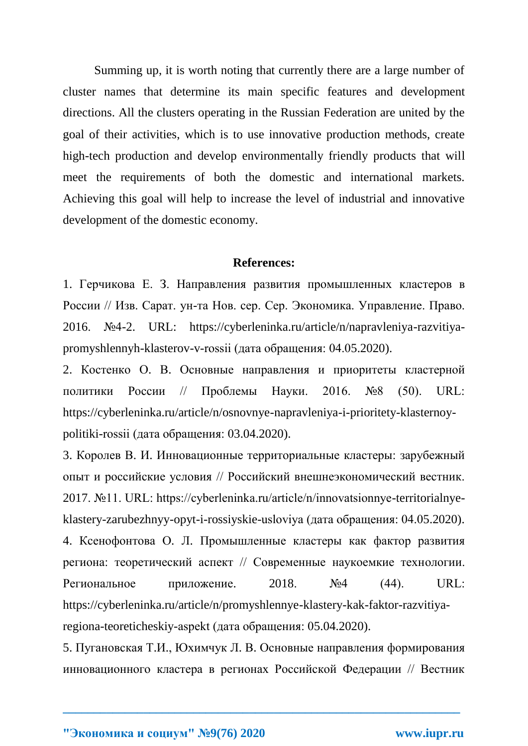Summing up, it is worth noting that currently there are a large number of cluster names that determine its main specific features and development directions. All the clusters operating in the Russian Federation are united by the goal of their activities, which is to use innovative production methods, create high-tech production and develop environmentally friendly products that will meet the requirements of both the domestic and international markets. Achieving this goal will help to increase the level of industrial and innovative development of the domestic economy.

## **References:**

1. Герчикова Е. З. Направления развития промышленных кластеров в России // Изв. Сарат. ун-та Нов. сер. Сер. Экономика. Управление. Право. 2016. №4-2. URL: https://cyberleninka.ru/article/n/napravleniya-razvitiyapromyshlennyh-klasterov-v-rossii (дата обращения: 04.05.2020).

2. Костенко О. В. Основные направления и приоритеты кластерной политики России // Проблемы Науки. 2016. №8 (50). URL: https://cyberleninka.ru/article/n/osnovnye-napravleniya-i-prioritety-klasternoypolitiki-rossii (дата обращения: 03.04.2020).

3. Королев В. И. Инновационные территориальные кластеры: зарубежный опыт и российские условия // Российский внешнеэкономический вестник. 2017. №11. URL: https://cyberleninka.ru/article/n/innovatsionnye-territorialnyeklastery-zarubezhnyy-opyt-i-rossiyskie-usloviya (дата обращения: 04.05.2020). 4. Ксенофонтова О. Л. Промышленные кластеры как фактор развития региона: теоретический аспект // Современные наукоемкие технологии. Региональное приложение.  $2018.$   $N<sub>2</sub>4$  (44). URL: https://cyberleninka.ru/article/n/promyshlennye-klastery-kak-faktor-razvitiyaregiona-teoreticheskiy-aspekt (дата обращения: 05.04.2020).

5. Пугановская Т.И., Юхимчук Л. В. Основные направления формирования инновационного кластера в регионах Российской Федерации // Вестник